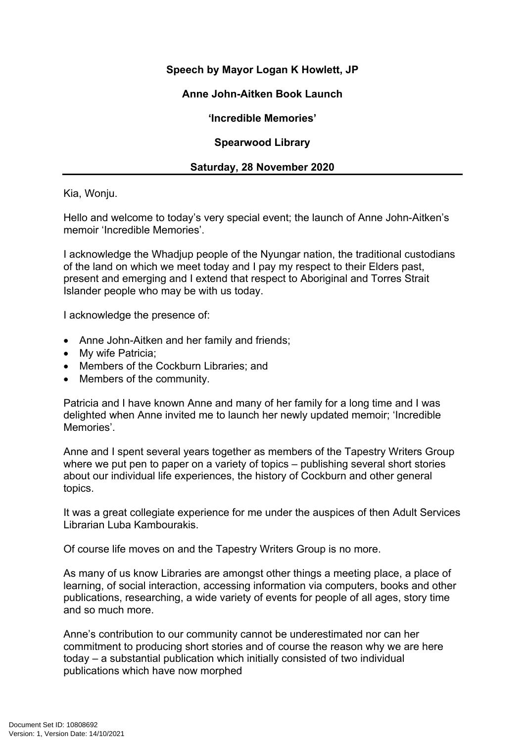## **Speech by Mayor Logan K Howlett, JP**

### **Anne John-Aitken Book Launch**

**'Incredible Memories'**

#### **Spearwood Library**

#### **Saturday, 28 November 2020**

Kia, Wonju.

Hello and welcome to today's very special event; the launch of Anne John-Aitken's memoir 'Incredible Memories'.

I acknowledge the Whadjup people of the Nyungar nation, the traditional custodians of the land on which we meet today and I pay my respect to their Elders past, present and emerging and I extend that respect to Aboriginal and Torres Strait Islander people who may be with us today.

I acknowledge the presence of:

- Anne John-Aitken and her family and friends;
- My wife Patricia:
- Members of the Cockburn Libraries; and
- Members of the community.

Patricia and I have known Anne and many of her family for a long time and I was delighted when Anne invited me to launch her newly updated memoir; 'Incredible Memories'.

Anne and I spent several years together as members of the Tapestry Writers Group where we put pen to paper on a variety of topics – publishing several short stories about our individual life experiences, the history of Cockburn and other general topics.

It was a great collegiate experience for me under the auspices of then Adult Services Librarian Luba Kambourakis.

Of course life moves on and the Tapestry Writers Group is no more.

As many of us know Libraries are amongst other things a meeting place, a place of learning, of social interaction, accessing information via computers, books and other publications, researching, a wide variety of events for people of all ages, story time and so much more.

Anne's contribution to our community cannot be underestimated nor can her commitment to producing short stories and of course the reason why we are here today – a substantial publication which initially consisted of two individual publications which have now morphed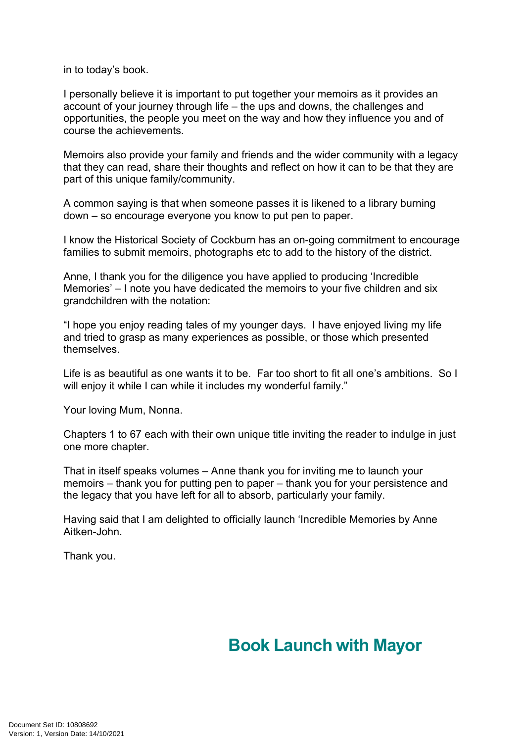in to today's book.

I personally believe it is important to put together your memoirs as it provides an account of your journey through life – the ups and downs, the challenges and opportunities, the people you meet on the way and how they influence you and of course the achievements.

Memoirs also provide your family and friends and the wider community with a legacy that they can read, share their thoughts and reflect on how it can to be that they are part of this unique family/community.

A common saying is that when someone passes it is likened to a library burning down – so encourage everyone you know to put pen to paper.

I know the Historical Society of Cockburn has an on-going commitment to encourage families to submit memoirs, photographs etc to add to the history of the district.

Anne, I thank you for the diligence you have applied to producing 'Incredible Memories' – I note you have dedicated the memoirs to your five children and six grandchildren with the notation:

"I hope you enjoy reading tales of my younger days. I have enjoyed living my life and tried to grasp as many experiences as possible, or those which presented themselves.

Life is as beautiful as one wants it to be. Far too short to fit all one's ambitions. So I will enjoy it while I can while it includes my wonderful family."

Your loving Mum, Nonna.

Chapters 1 to 67 each with their own unique title inviting the reader to indulge in just one more chapter.

That in itself speaks volumes – Anne thank you for inviting me to launch your memoirs – thank you for putting pen to paper – thank you for your persistence and the legacy that you have left for all to absorb, particularly your family.

Having said that I am delighted to officially launch 'Incredible Memories by Anne Aitken-John.

Thank you.

# **Book Launch with Mayor**